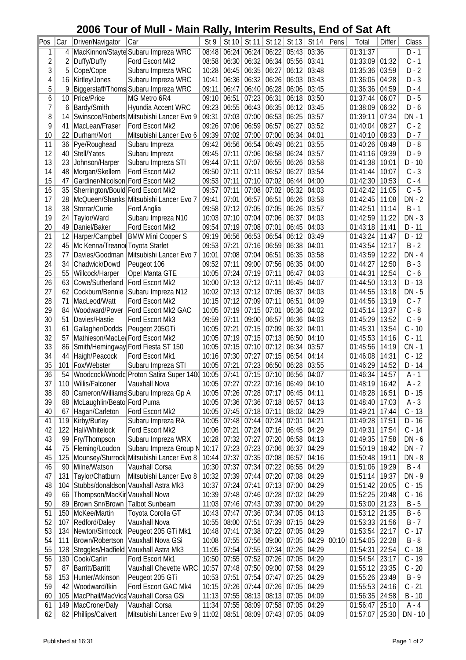## **2006 Tour of Mull - Main Rally, Interim Results, End of Sat Aft**

| $ P_{OS} $     | Car            | Driver/Navigator                  | Car                                          | St 9  | St 10         | St 11             | St 12             | St 13                   | St 14 | Pens  | Total                  | <b>Differ</b> | Class            |
|----------------|----------------|-----------------------------------|----------------------------------------------|-------|---------------|-------------------|-------------------|-------------------------|-------|-------|------------------------|---------------|------------------|
| 1              | 4              |                                   | MacKinnon/Stayte Subaru Impreza WRC          | 08:48 | 06:24         | 06:24             | 06:22             | 05:43                   | 03:36 |       | 01:31:37               |               | $D-1$            |
| $\overline{2}$ | $\overline{2}$ | Duffy/Duffy                       | Ford Escort Mk2                              | 08:58 | 06:30         | 06:32             | 06:34             | 05:56                   | 03:41 |       | 01:33:09               | 01:32         | $C - 1$          |
| 3              | 5              | Cope/Cope                         | Subaru Impreza WRC                           | 10:28 | 06:45         | 06:35             | 06:27             | 06:12                   | 03:48 |       | 01:35:36               | 03:59         | $D - 2$          |
| 4              | 16             | Kirtley/Jones                     | Subaru Impreza WRC                           | 10:41 | 06:36         | 06:32             | 06:26             | 06:03                   | 03:43 |       | 01:36:05               | 04:28         | $D - 3$          |
| 5              | 9              |                                   | Biggerstaff/Thoms Subaru Impreza WRC         | 09:11 | 06:47         | 06:40             | 06:28             | 06:06                   | 03:45 |       | 01:36:36               | 04:59         | $D - 4$          |
| 6              | 10             | Price/Price                       | MG Metro 6R4                                 | 09:10 | 06:51         | 07:23             | 06:31             | 06:18                   | 03:50 |       | 01:37:44               | 06:07         | $D-5$            |
| 7              | 6              | Bardy/Smith                       | Hyundia Accent WRC                           | 09:23 | 06:55         | 06:43             | 06:35             | 06:12                   | 03:45 |       | 01:38:09               | 06:32         | $D - 6$          |
| 8              | 14             |                                   | Swinscoe/Roberts Mitsubishi Lancer Evo 9     | 09:31 | 07:03         | 07:00             | 06:53             | 06:25                   | 03:57 |       | 01:39:11               | 07:34         | $DN - 1$         |
| 9              | 41             | MacLean/Fraser                    | Ford Escort Mk2                              | 09:26 | 07:06         | 06:59             | 06:57             | 06:27                   | 03:52 |       | 01:40:04               | 08:27         | $C - 2$          |
| 10             | 22             | Durham/Mort                       | Mitsubishi Lancer Evo 6                      | 09:39 | 07:02         | 07:00             | 07:00             | 06:34                   | 04:01 |       | 01:40:10               | 08:33         | $D - 7$          |
| 11             | 36             | Pye/Roughead                      | Subaru Impreza                               | 09:42 | 06:56         | 06:54             | 06:49             | 06:21                   | 03:55 |       | 01:40:26               | 08:49         | $D - 8$          |
| 12             |                | Stell/Yates                       |                                              |       | 07:11         | 07:06             |                   |                         | 03:57 |       |                        | 09:39         | $D - 9$          |
|                | 40             |                                   | Subaru Impreza                               | 09:45 |               |                   | 06:58             | 06:24                   |       |       | 01:41:16               |               |                  |
| 13             | 23             | Johnson/Harper                    | Subaru Impreza STI                           | 09:44 | 07:11         | 07:07             | 06:55             | 06:26                   | 03:58 |       | 01:41:38               | 10:01         | $D - 10$         |
| 14             | 48             | Morgan/Skellern                   | Ford Escort Mk2                              | 09:50 | 07:11         | 07:11             | 06:52             | 06:27                   | 03:54 |       | 01:41:44               | 10:07         | $C - 3$          |
| 15             | 47             | Gardiner/Nicolson Ford Escort Mk2 |                                              | 09:53 | 07:11         | 07:10             | 07:02             | 06:44                   | 04:00 |       | 01:42:30               | 10:53         | $C - 4$          |
| 16             | 35             | Sherrington/Bould Ford Escort Mk2 |                                              | 09:57 | 07:11         | 07:08             | 07:02             | 06:32                   | 04:03 |       | 01:42:42               | 11:05         | $\overline{C-5}$ |
| 17             | 28             |                                   | McQueen/Shanks Mitsubishi Lancer Evo 7       | 09:41 | 07:01         | 06:57             | 06:51             | 06:26                   | 03:58 |       | 01:42:45               | 11:08         | $DN - 2$         |
| 18             | 38             | Storrar/Currie                    | Ford Anglia                                  | 09:58 | 07:12         | 07:05             | 07:05             | 06:26                   | 03:57 |       | 01:42:51               | 11:14         | $B - 1$          |
| 19             | 24             | Taylor/Ward                       | Subaru Impreza N10                           | 10:03 | 07:10         | 07:04             | 07:06             | 06:37                   | 04:03 |       | 01:42:59               | 11:22         | $DN - 3$         |
| 20             | 49             | Daniel/Baker                      | Ford Escort Mk2                              | 09:54 | 07:19         | 07:08             | 07:01             | 06:45                   | 04:03 |       | 01:43:18               | 11:41         | $D - 11$         |
| 21             | 12             |                                   | Harper/Campbell   BMW Mini Cooper S          | 09:19 | 06:56         | 06:53             | 06:54             | 06:12                   | 03:49 |       | 01:43:24               | 11:47         | $D - 12$         |
| 22             | 45             | Mc Kenna/Treanor Toyota Starlet   |                                              | 09:53 | 07:21         | 07:16             | 06:59             | 06:38                   | 04:01 |       | 01:43:54               | 12:17         | $B - 2$          |
|                |                |                                   |                                              |       |               |                   |                   |                         |       |       |                        |               |                  |
| 23             | 77             |                                   | Davies/Goodman Mitsubishi Lancer Evo 7       | 10:01 | 07:08         | 07:04             | 06:51             | 06:35                   | 03:58 |       | 01:43:59               | 12:22         | $DN - 4$         |
| 24             | 34             | Chadwick/Dowd                     | Peugeot 106                                  | 09:52 | 07:11         | 09:00             | 07:56             | 06:35                   | 04:00 |       | 01:44:27               | 12:50         | $B - 3$          |
| 25             | 55             | Willcock/Harper                   | Opel Manta GTE                               | 10:05 | 07:24         | 07:19             | 07:11             | 06:47                   | 04:03 |       | 01:44:31               | 12:54         | $C - 6$          |
| 26             | 63             | Cowe/Sutherland   Ford Escort Mk2 |                                              | 10:00 | 07:13         | 07:12             | 07:11             | 06:45                   | 04:07 |       | 01:44:50               | 13:13         | $D - 13$         |
| 27             | 62             |                                   | Cockburn/Bennie   Subaru Impreza N12         | 10:02 | 07:13         | 07:12             | 07:05             | 06:37                   | 04:03 |       | 01:44:55               | 13:18         | $DN - 5$         |
| 28             | 71             | MacLeod/Watt                      | Ford Escort Mk2                              | 10:15 | 07:12         | 07:09             | 07:11             | 06:51                   | 04:09 |       | 01:44:56               | 13:19         | $C - 7$          |
| 29             | 84             | Woodward/Pover                    | Ford Escort Mk2 GAC                          | 10:05 | 07:19         | 07:15             | 07:01             | 06:36                   | 04:02 |       | 01:45:14               | 13:37         | $C - 8$          |
| 30             | 51             | Davies/Hastie                     | Ford Escort Mk3                              | 09:59 | 07:11         | 09:00             | 06:57             | 06:36                   | 04:03 |       | 01:45:29               | 13:52         | $C - 9$          |
| 31             | 61             | Gallagher/Dodds                   | Peugeot 205GTi                               | 10:05 | 07:21         | 07:15             | 07:09             | 06:32                   | 04:01 |       | 01:45:31               | 13:54         | $C - 10$         |
| 32             | 57             | Mathieson/MacLea Ford Escort Mk2  |                                              | 10:05 | 07:19         | 07:15             | 07:13             | 06:50                   | 04:10 |       | 01:45:53               | 14:16         | $C - 11$         |
| 33             | 86             |                                   | Smith/Hemingway Ford Fiesta ST 150           | 10:05 | 07:15         | 07:10             | 07:12             | 06:34                   | 03:57 |       | 01:45:56               | 14:19         | $CN - 1$         |
| 34             | 44             | Haigh/Peacock                     | Ford Escort Mk1                              | 10:16 | 07:30         | 07:27             | 07:15             | 06:54                   | 04:14 |       | 01:46:08               | 14:31         | $C - 12$         |
| 35             | 101            | Fox/Webster                       | Subaru Impreza STI                           | 10:05 | 07:21         | 07:23             | 06:50             | 06:28                   | 03:55 |       | 01:46:29               | 14:52         | $D - 14$         |
| 36             |                |                                   |                                              | 10:05 | 07:41         | 07:15             | 07:10             | 06:56                   |       |       |                        | 14:57         |                  |
|                | 54             |                                   | Woodcock/Woodc Proton Satira Super 1400      |       |               |                   |                   |                         | 04:07 |       | 01:46:34               |               | A - 1            |
| 37             |                | 110 Willis/Falconer               | Vauxhall Nova                                | 10:05 | 07:27         |                   | $07:22$ 07:16     | $06:49$ 04:10           |       |       | 01:48:19               | 16:42         | $-2$<br>Α        |
| 38             | 80             |                                   | Cameron/Williams Subaru Impreza Gp A         | 10:05 |               | 07:26 07:28 07:17 |                   | 06:45                   | 04:11 |       | 01:48:28               | 16:51         | $D - 15$         |
| 39             | 88             | McLaughlin/Beatol Ford Puma       |                                              | 10:05 | 07:36         |                   | $07:36$ 07:18     | 06:57                   | 04:13 |       | 01:48:40               | 17:03         | $A - 3$          |
| 40             | 67             | Hagan/Carleton                    | Ford Escort Mk2                              | 10:05 | 07:45         | 07:18             | 07:11             | 08:02                   | 04:29 |       | 01:49:21               | 17:44         | $C - 13$         |
| 41             | 119            | Kirby/Burley                      | Subaru Impreza RA                            | 10:05 | 07:48         | 07:44             | 07:24             | 07:01                   | 04:21 |       | 01:49:28               | 17:51         | $D - 16$         |
| 42             | 122            | Hall/Whitelock                    | Ford Escort Mk2                              | 10:06 | 07:21         | 07:24             | 07:16             | 06:45                   | 04:29 |       | 01:49:31               | 17:54         | $C - 14$         |
| 43             | 99             | Fry/Thompson                      | Subaru Impreza WRX                           | 10:28 | 07:32         | 07:27             | 07:20             | 06:58                   | 04:13 |       | 01:49:35               | 17:58         | DN - 6           |
| 44             | 75             | Fleming/Loudon                    | Subaru Impreza Group N                       | 10:17 |               | $07:23$ 07:23     | 07:06             | 06:37                   | 04:29 |       | 01:50:19               | 18:42         | DN - 7           |
| 45             | 125            |                                   | Mounsey/Sturrock Mitsubishi Lancer Evo 8     | 10:44 | 07:37         | 07:35             | 07:08             | 06:57                   | 04:16 |       | 01:50:48               | 19:11         | DN - 8           |
| 46             | 90             | Milne/Watson                      | Vauxhall Corsa                               | 10:30 | 07:37         | 07:34             | 07:22             | 06:55                   | 04:29 |       | 01:51:06               | 19:29         | $B - 4$          |
| 47             |                |                                   | Mitsubishi Lancer Evo 8                      |       | 07:39         | 07:44             | 07:20             | 07:08                   | 04:29 |       |                        | 19:37         | DN - 9           |
|                | 131            | Taylor/Chatburn                   |                                              | 10:32 |               |                   |                   |                         |       |       | 01:51:14               |               |                  |
| 48             | 104            |                                   | Stubbs/donaldson   Vauxhall Astra Mk3        | 10:37 | 07:24         | 07:41             | 07:13             | 07:00                   | 04:29 |       | 01:51:42               | 20:05         | $C - 15$         |
| 49             | 66             | Thompson/MacKir Vauxhall Nova     |                                              | 10:39 | 07:48         | 07:46             | 07:28             | 07:02                   | 04:29 |       | 01:52:25               | 20:48         | $C - 16$         |
| 50             | 89             | Brown Snr/Brown Talbot Sunbeam    |                                              | 11:03 | 07:46         | 07:43             | 07:39             | 07:00                   | 04:29 |       | 01:53:00               | 21:23         | $B - 5$          |
| 51             | 150            | McKee/Martin                      | Toyota Corolla GT                            | 10:43 | 07:47         | 07:36             | 07:34             | 07:05                   | 04:13 |       | $\overline{01}$ :53:12 | 21:35         | $B - 6$          |
| 52             | 107            | Redford/Daley                     | Vauxhall Nova                                | 10:55 | 08:00         | 07:51             | 07:39             | 07:15                   | 04:29 |       | 01:53:33               | 21:56         | $B - 7$          |
| 53             | 134            | Newton/Simcock                    | Peugeot 205 GTi Mk1                          | 10:48 | 07:41         | 07:38             | 07:22             | 07:05                   | 04:29 |       | 01:53:54               | 22:17         | $C - 17$         |
| 54             | 111            |                                   | Brown/Robertson   Vauxhall Nova GSi          | 10:08 | 07:55         | 07:56             | 09:00             | 07:05                   | 04:29 | 00:10 | 01:54:05               | 22:28         | $B - 8$          |
| 55             |                |                                   | 128   Steggles/Hadfield   Vauxhall Astra Mk3 | 11:05 | 07:54         | 07:55             | 07:34             | 07:26                   | 04:29 |       | 01:54:31               | 22:54         | $C - 18$         |
| 56             | 130            | Cook/Carlin                       | Ford Escort Mk1                              | 10:50 | 07:55         | 07:52             | 07:26             | 07:05                   | 04:29 |       | 01:54:54               | 23:17         | $C - 19$         |
| 57             | 87             | Barritt/Barritt                   | Vauxhall Chevette WRC                        | 10:57 | 07:48         | 07:50             | 09:00             | 07:58                   | 04:29 |       | 01:55:12               | 23:35         | $C - 20$         |
| 58             | 153            | Hunter/Atkinson                   | Peugeot 205 GTi                              | 10:53 | 07:51         | 07:54             | 07:47             | 07:25                   | 04:29 |       | 01:55:26               | 23:49         | $B - 9$          |
| 59             | 42             | Woodward/Ikin                     | Ford Escort GAC Mk4                          | 10:15 | 07:26         | 07:44             | 07:26             | 07:05                   | 04:29 |       | 01:55:53               | 24:16         | $C - 21$         |
|                |                |                                   |                                              |       |               |                   |                   |                         |       |       |                        |               |                  |
| 60             | 105            |                                   | MacPhail/MacVica Vauxhall Corsa GSi          | 11:13 | 07:55         |                   | $08:13$ 08:13     | 07:05                   | 04:09 |       | 01:56:35               | 24:58         | $B - 10$         |
| 61             |                | 149   MacCrone/Daly               | Vauxhall Corsa                               | 11:34 | 07:55         |                   | 08:09 07:58 07:05 |                         | 04:29 |       | 01:56:47               | 25:10         | $A - 4$          |
| 62             |                | 82 Phillips/Calvert               | Mitsubishi Lancer Evo 9                      |       | $11:02$ 08:51 |                   |                   | 08:09 07:43 07:05 04:09 |       |       | 01:57:07               | 25:30         | $DN - 10$        |